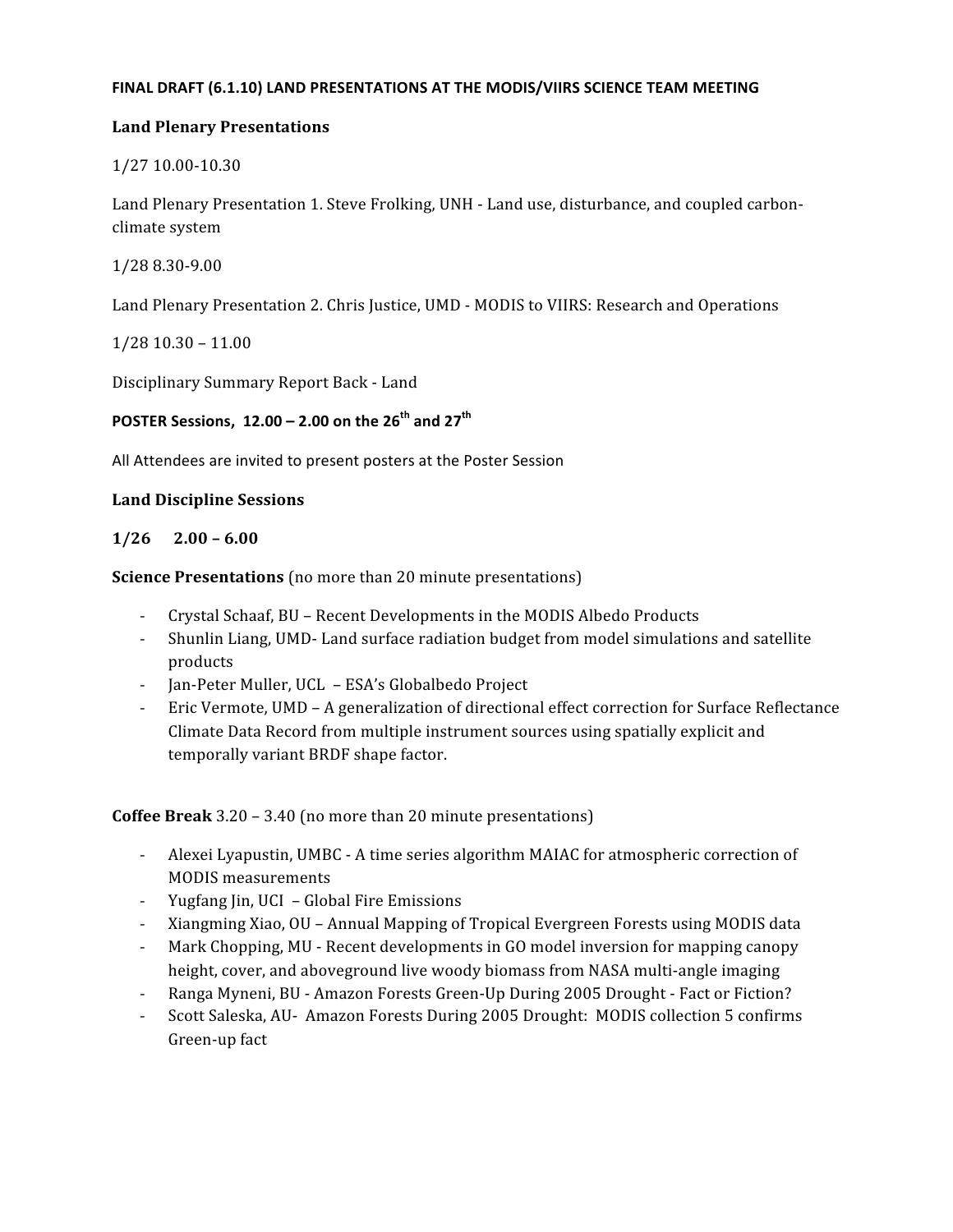#### FINAL DRAFT (6.1.10) LAND PRESENTATIONS AT THE MODIS/VIIRS SCIENCE TEAM MEETING

### **Land
Plenary
Presentations**

1/27 10.00‐10.30

Land Plenary Presentation 1. Steve Frolking, UNH - Land use, disturbance, and coupled carbonclimate
system

1/28 8.30‐9.00

Land Plenary Presentation 2. Chris Justice, UMD - MODIS to VIIRS: Research and Operations

1/28
10.30
–
11.00

Disciplinary
Summary
Report
Back
‐
Land

# POSTER Sessions, 12.00 - 2.00 on the 26<sup>th</sup> and 27<sup>th</sup>

All
Attendees
are
invited
to
present
posters
at
the
Poster
Session

### **Land
Discipline
Sessions**

### $1/26$   $2.00 - 6.00$

**Science Presentations** (no more than 20 minute presentations)

- ‐ Crystal
Schaaf,
BU
–
Recent
Developments
in
the
MODIS
Albedo
Products
- ‐ Shunlin
Liang, UMD‐
Land
surface
radiation
budget
from
model
simulations
and
satellite products
- ‐ Jan‐Peter
Muller,
UCL

–
ESA's
Globalbedo
Project
- Eric Vermote, UMD A generalization of directional effect correction for Surface Reflectance Climate
Data
Record
from
multiple
instrument
sources
using
spatially
explicit
and temporally
variant
BRDF
shape
factor.

**Coffee Break** 3.20 – 3.40 (no more than 20 minute presentations)

- Alexei Lyapustin, UMBC A time series algorithm MAIAC for atmospheric correction of MODIS
measurements
- ‐ Yugfang
Jin,
UCI

–
Global
Fire
Emissions
- Xiangming Xiao, OU Annual Mapping of Tropical Evergreen Forests using MODIS data
- Mark Chopping, MU Recent developments in GO model inversion for mapping canopy height, cover, and aboveground live woody biomass from NASA multi-angle imaging
- Ranga Myneni, BU Amazon Forests Green-Up During 2005 Drought Fact or Fiction?
- Scott Saleska, AU- Amazon Forests During 2005 Drought: MODIS collection 5 confirms Green‐up
fact